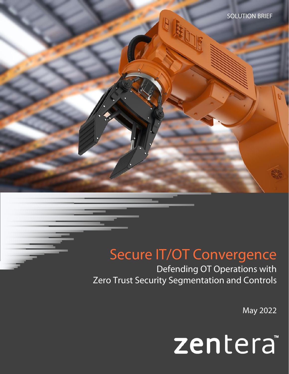# Secure IT/OT Convergence

Defending OT Operations with Zero Trust Security Segmentation and Controls

May 2022

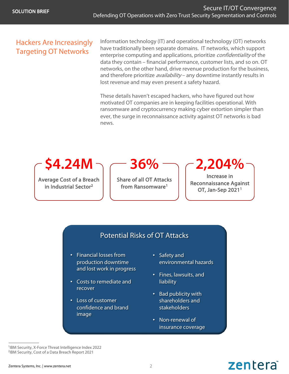## Hackers Are Increasingly Targeting OT Networks

Information technology (IT) and operational technology (OT) networks have traditionally been separate domains. IT networks, which support enterprise computing and applications, prioritize *confidentiality* of the data they contain – financial performance, customer lists, and so on. OT networks, on the other hand, drive revenue production for the business, and therefore prioritize *availability* – any downtime instantly results in lost revenue and may even present a safety hazard.

These details haven't escaped hackers, who have figured out how motivated OT companies are in keeping facilities operational. With ransomware and cryptocurrency making cyber extortion simpler than ever, the surge in reconnaissance activity against OT networks is bad news.

**\$4.24M**

Average Cost of a Breach in Industrial Sector2

**36%**

Share of all OT Attacks from Ransomware<sup>1</sup>

**2,204%**

Increase in Reconnaissance Against OT, Jan-Sep 20211

zentera

## Potential Risks of OT Attacks

- Financial losses from production downtime and lost work in progress
- Costs to remediate and recover
- Loss of customer confidence and brand image
- Safety and environmental hazards
- Fines, lawsuits, and liability
- Bad publicity with shareholders and stakeholders
- Non-renewal of insurance coverage

1IBM Security, X-Force Threat Intelligence Index 2022 2IBM Security, Cost of a Data Breach Report 2021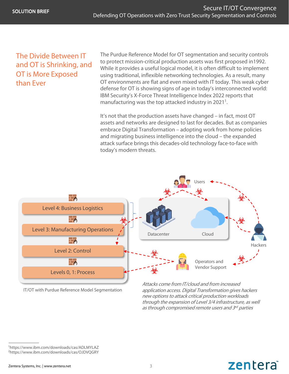## The Divide Between IT and OT is Shrinking, and OT is More Exposed than Ever

The Purdue Reference Model for OT segmentation and security controls to protect mission-critical production assets was first proposed in1992. While it provides a useful logical model, it is often difficult to implement using traditional, inflexible networking technologies. As a result, many OT environments are flat and even mixed with IT today. This weak cyber defense for OT is showing signs of age in today's interconnected world: IBM Security's X-Force Threat Intelligence Index 2022 reports that manufacturing was the top attacked industry in  $2021<sup>1</sup>$ .

It's not that the production assets have changed – in fact, most OT assets and networks are designed to last for decades. But as companies embrace Digital Transformation – adopting work from home policies and migrating business intelligence into the cloud – the expanded attack surface brings this decades-old technology face-to-face with today's modern threats.



IT/OT with Purdue Reference Model Segmentation

Attacks come from IT/cloud and from increased application access. Digital Transformation gives hackers new options to attack critical production workloads through the expansion of Level 3/4 infrastructure, as well as through compromised remote users and 3rd parties

zentera

<sup>1</sup>https://www.ibm.com/downloads/cas/ADLMYLAZ 2https://www.ibm.com/downloads/cas/OJDVQGRY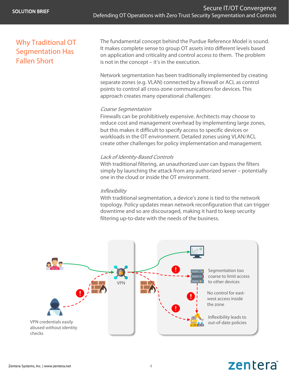## Why Traditional OT Segmentation Has Fallen Short

The fundamental concept behind the Purdue Reference Model is sound. It makes complete sense to group OT assets into different levels based on application and criticality and control access to them. The problem is not in the concept – it's in the execution.

Network segmentation has been traditionally implemented by creating separate zones (e.g. VLAN) connected by a firewall or ACL as control points to control all cross-zone communications for devices. This approach creates many operational challenges:

#### Coarse Segmentation

Firewalls can be prohibitively expensive. Architects may choose to reduce cost and management overhead by implementing large zones, but this makes it difficult to specify access to specific devices or workloads in the OT environment. Detailed zones using VLAN/ACL create other challenges for policy implementation and management.

#### Lack of Identity-Based Controls

With traditional filtering, an unauthorized user can bypass the filters simply by launching the attack from any authorized server – potentially one in the cloud or inside the OT environment.

#### **Inflexibility**

With traditional segmentation, a device's zone is tied to the network topology. Policy updates mean network reconfiguration that can trigger downtime and so are discouraged, making it hard to keep security filtering up-to-date with the needs of the business.



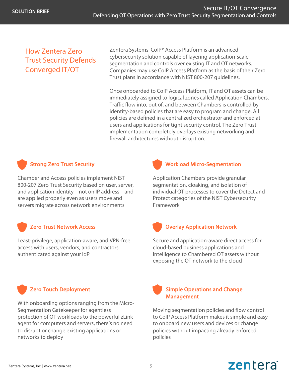## How Zentera Zero Trust Security Defends Converged IT/OT

Zentera Systems' CoIP® Access Platform is an advanced cybersecurity solution capable of layering application-scale segmentation and controls over existing IT and OT networks. Companies may use CoIP Access Platform as the basis of their Zero Trust plans in accordance with NIST 800-207 guidelines.

Once onboarded to CoIP Access Platform, IT and OT assets can be immediately assigned to logical zones called Application Chambers. Traffic flow into, out of, and between Chambers is controlled by identity-based policies that are easy to program and change. All policies are defined in a centralized orchestrator and enforced at users and applications for tight security control. The Zero Trust implementation completely overlays existing networking and firewall architectures without disruption.

#### Strong Zero Trust Security

Chamber and Access policies implement NIST 800-207 Zero Trust Security based on user, server, and application identity – not on IP address – and are applied properly even as users move and servers migrate across network environments

#### Zero Trust Network Access

Least-privilege, application-aware, and VPN-free access with users, vendors, and contractors authenticated against your IdP

### Zero Touch Deployment

With onboarding options ranging from the Micro-Segmentation Gatekeeper for agentless protection of OT workloads to the powerful zLink agent for computers and servers, there's no need to disrupt or change existing applications or networks to deploy



#### Workload Micro-Segmentation

Application Chambers provide granular segmentation, cloaking, and isolation of individual OT processes to cover the Detect and Protect categories of the NIST Cybersecurity Framework

### Overlay Application Network

Secure and application-aware direct access for cloud-based business applications and intelligence to Chambered OT assets without exposing the OT network to the cloud

#### Simple Operations and Change Management

Moving segmentation policies and flow control to CoIP Access Platform makes it simple and easy to onboard new users and devices or change policies without impacting already enforced policies

zentera

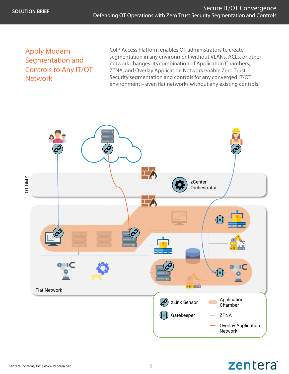## Apply Modern Segmentation and Controls to Any IT/OT **Network**

CoIP Access Platform enables OT administrators to create segmentation in any environment without VLANs, ACLs, or other network changes. Its combination of Application Chambers, ZTNA, and Overlay Application Network enable Zero Trust Security segmentation and controls for any converged IT/OT environment – even flat networks without any existing controls.



## zentera®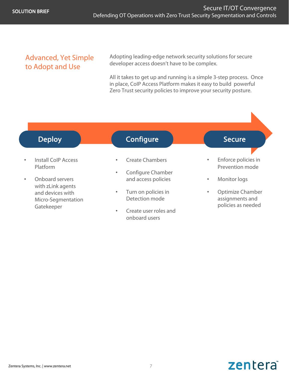## Advanced, Yet Simple to Adopt and Use

Adopting leading-edge network security solutions for secure developer access doesn't have to be complex.

All it takes to get up and running is a simple 3-step process. Once in place, CoIP Access Platform makes it easy to build powerful Zero Trust security policies to improve your security posture.



- Install CoIP Access Platform
- Onboard servers with zLink agents and devices with Micro-Segmentation Gatekeeper

## Configure **Configure Secure**

- Create Chambers
- Configure Chamber and access policies
- Turn on policies in Detection mode
- Create user roles and onboard users
- Enforce policies in Prevention mode
- Monitor logs
- Optimize Chamber assignments and policies as needed

#### Zentera Systems, Inc. | www.zentera.net